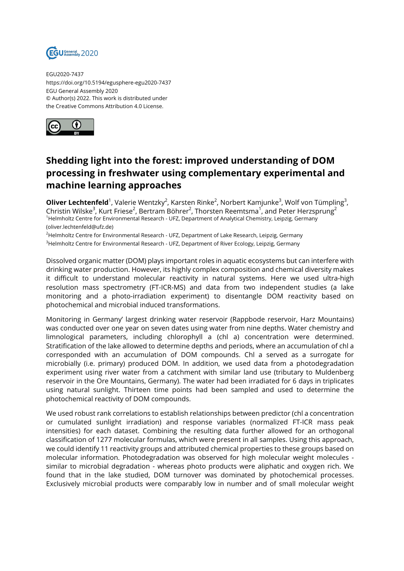

EGU2020-7437 https://doi.org/10.5194/egusphere-egu2020-7437 EGU General Assembly 2020 © Author(s) 2022. This work is distributed under the Creative Commons Attribution 4.0 License.



## **Shedding light into the forest: improved understanding of DOM processing in freshwater using complementary experimental and machine learning approaches**

**Oliver Lechtenfeld**<sup>1</sup>, Valerie Wentzky<sup>2</sup>, Karsten Rinke<sup>2</sup>, Norbert Kamjunke<sup>3</sup>, Wolf von Tümpling<sup>3</sup>, Christin Wilske $^3$ , Kurt Friese $^2$ , Bertram Böhrer $^2$ , Thorsten Reemtsma $^1$ , and Peter Herzsprung $^2$ <sup>1</sup>Helmholtz Centre for Environmental Research - UFZ, Department of Analytical Chemistry, Leipzig, Germany (oliver.lechtenfeld@ufz.de)

<sup>2</sup>Helmholtz Centre for Environmental Research - UFZ, Department of Lake Research, Leipzig, Germany <sup>3</sup>Helmholtz Centre for Environmental Research - UFZ, Department of River Ecology, Leipzig, Germany

Dissolved organic matter (DOM) plays important roles in aquatic ecosystems but can interfere with drinking water production. However, its highly complex composition and chemical diversity makes it difficult to understand molecular reactivity in natural systems. Here we used ultra-high resolution mass spectrometry (FT-ICR-MS) and data from two independent studies (a lake monitoring and a photo-irradiation experiment) to disentangle DOM reactivity based on photochemical and microbial induced transformations.

Monitoring in Germany' largest drinking water reservoir (Rappbode reservoir, Harz Mountains) was conducted over one year on seven dates using water from nine depths. Water chemistry and limnological parameters, including chlorophyll a (chl a) concentration were determined. Stratification of the lake allowed to determine depths and periods, where an accumulation of chl a corresponded with an accumulation of DOM compounds. Chl a served as a surrogate for microbially (i.e. primary) produced DOM. In addition, we used data from a photodegradation experiment using river water from a catchment with similar land use (tributary to Muldenberg reservoir in the Ore Mountains, Germany). The water had been irradiated for 6 days in triplicates using natural sunlight. Thirteen time points had been sampled and used to determine the photochemical reactivity of DOM compounds.

We used robust rank correlations to establish relationships between predictor (chl a concentration or cumulated sunlight irradiation) and response variables (normalized FT-ICR mass peak intensities) for each dataset. Combining the resulting data further allowed for an orthogonal classification of 1277 molecular formulas, which were present in all samples. Using this approach, we could identify 11 reactivity groups and attributed chemical properties to these groups based on molecular information. Photodegradation was observed for high molecular weight molecules similar to microbial degradation - whereas photo products were aliphatic and oxygen rich. We found that in the lake studied, DOM turnover was dominated by photochemical processes. Exclusively microbial products were comparably low in number and of small molecular weight